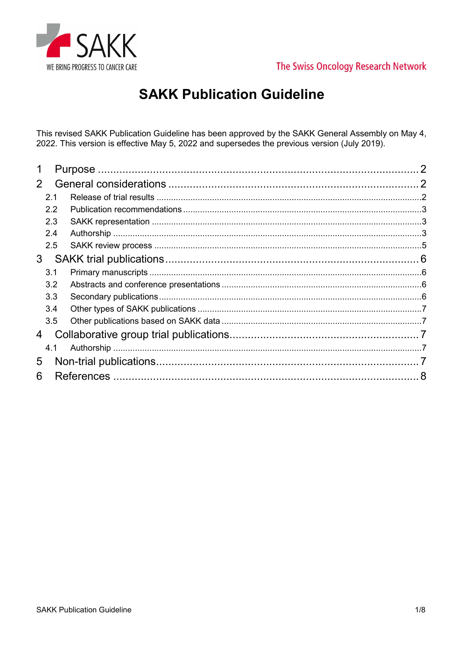



## **SAKK Publication Guideline**

This revised SAKK Publication Guideline has been approved by the SAKK General Assembly on May 4, 2022. This version is effective May 5, 2022 and supersedes the previous version (July 2019).

|                |     |  | $\mathcal{P}$ |
|----------------|-----|--|---------------|
| $\overline{2}$ |     |  |               |
|                | 2.1 |  |               |
|                | 2.2 |  |               |
|                | 2.3 |  |               |
|                | 2.4 |  |               |
|                | 2.5 |  |               |
| 3              |     |  |               |
|                | 3.1 |  |               |
|                | 3.2 |  |               |
|                | 3.3 |  |               |
|                | 3.4 |  |               |
|                | 3.5 |  |               |
| 4              |     |  |               |
|                | 4.1 |  |               |
| 5              |     |  |               |
| 6              |     |  |               |
|                |     |  |               |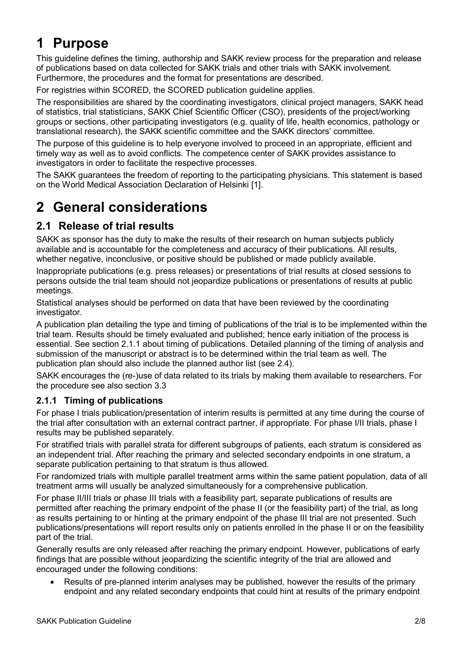# 1 Purpose

This guideline defines the timing, authorship and SAKK review process for the preparation and release of publications based on data collected for SAKK trials and other trials with SAKK involvement. Furthermore, the procedures and the format for presentations are described.

For registries within SCORED, the SCORED publication guideline applies.

The responsibilities are shared by the coordinating investigators, clinical project managers, SAKK head of statistics, trial statisticians, SAKK Chief Scientific Officer (CSO), presidents of the project/working groups or sections, other participating investigators (e.g. quality of life, health economics, pathology or translational research), the SAKK scientific committee and the SAKK directors' committee.

The purpose of this guideline is to help everyone involved to proceed in an appropriate, efficient and timely way as well as to avoid conflicts. The competence center of SAKK provides assistance to investigators in order to facilitate the respective processes.

The SAKK guarantees the freedom of reporting to the participating physicians. This statement is based on the World Medical Association Declaration of Helsinki [1].

## 2 General considerations

## 2.1 Release of trial results

SAKK as sponsor has the duty to make the results of their research on human subjects publicly available and is accountable for the completeness and accuracy of their publications. All results, whether negative, inconclusive, or positive should be published or made publicly available.

Inappropriate publications (e.g. press releases) or presentations of trial results at closed sessions to persons outside the trial team should not jeopardize publications or presentations of results at public meetings.

Statistical analyses should be performed on data that have been reviewed by the coordinating investigator.

A publication plan detailing the type and timing of publications of the trial is to be implemented within the trial team. Results should be timely evaluated and published; hence early initiation of the process is essential. See section 2.1.1 about timing of publications. Detailed planning of the timing of analysis and submission of the manuscript or abstract is to be determined within the trial team as well. The publication plan should also include the planned author list (see 2.4).

SAKK encourages the (re-)use of data related to its trials by making them available to researchers. For the procedure see also section 3.3

#### 2.1.1 Timing of publications

For phase I trials publication/presentation of interim results is permitted at any time during the course of the trial after consultation with an external contract partner, if appropriate. For phase I/II trials, phase I results may be published separately.

For stratified trials with parallel strata for different subgroups of patients, each stratum is considered as an independent trial. After reaching the primary and selected secondary endpoints in one stratum, a separate publication pertaining to that stratum is thus allowed.

For randomized trials with multiple parallel treatment arms within the same patient population, data of all treatment arms will usually be analyzed simultaneously for a comprehensive publication.

For phase II/III trials or phase III trials with a feasibility part, separate publications of results are permitted after reaching the primary endpoint of the phase II (or the feasibility part) of the trial, as long as results pertaining to or hinting at the primary endpoint of the phase III trial are not presented. Such publications/presentations will report results only on patients enrolled in the phase II or on the feasibility part of the trial.

Generally results are only released after reaching the primary endpoint. However, publications of early findings that are possible without jeopardizing the scientific integrity of the trial are allowed and encouraged under the following conditions:

 Results of pre-planned interim analyses may be published, however the results of the primary endpoint and any related secondary endpoints that could hint at results of the primary endpoint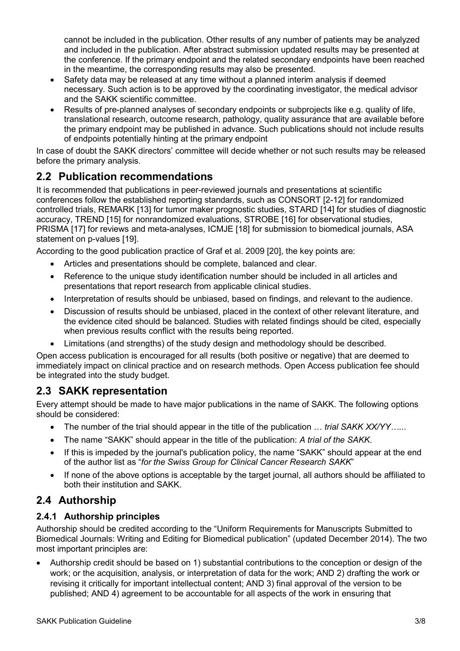cannot be included in the publication. Other results of any number of patients may be analyzed and included in the publication. After abstract submission updated results may be presented at the conference. If the primary endpoint and the related secondary endpoints have been reached in the meantime, the corresponding results may also be presented.

- Safety data may be released at any time without a planned interim analysis if deemed necessary. Such action is to be approved by the coordinating investigator, the medical advisor and the SAKK scientific committee.
- Results of pre-planned analyses of secondary endpoints or subprojects like e.g. quality of life, translational research, outcome research, pathology, quality assurance that are available before the primary endpoint may be published in advance. Such publications should not include results of endpoints potentially hinting at the primary endpoint

In case of doubt the SAKK directors' committee will decide whether or not such results may be released before the primary analysis.

## 2.2 Publication recommendations

It is recommended that publications in peer-reviewed journals and presentations at scientific conferences follow the established reporting standards, such as CONSORT [2-12] for randomized controlled trials, REMARK [13] for tumor maker prognostic studies, STARD [14] for studies of diagnostic accuracy, TREND [15] for nonrandomized evaluations, STROBE [16] for observational studies, PRISMA [17] for reviews and meta-analyses, ICMJE [18] for submission to biomedical journals, ASA statement on p-values [19].

According to the good publication practice of Graf et al. 2009 [20], the key points are:

- Articles and presentations should be complete, balanced and clear.
- Reference to the unique study identification number should be included in all articles and presentations that report research from applicable clinical studies.
- Interpretation of results should be unbiased, based on findings, and relevant to the audience.
- Discussion of results should be unbiased, placed in the context of other relevant literature, and the evidence cited should be balanced. Studies with related findings should be cited, especially when previous results conflict with the results being reported.
- Limitations (and strengths) of the study design and methodology should be described.

Open access publication is encouraged for all results (both positive or negative) that are deemed to immediately impact on clinical practice and on research methods. Open Access publication fee should be integrated into the study budget.

### 2.3 SAKK representation

Every attempt should be made to have major publications in the name of SAKK. The following options should be considered:

- The number of the trial should appear in the title of the publication ... trial SAKK XX/YY......
- The name "SAKK" should appear in the title of the publication: A trial of the SAKK.
- If this is impeded by the journal's publication policy, the name "SAKK" should appear at the end of the author list as "for the Swiss Group for Clinical Cancer Research SAKK"
- If none of the above options is acceptable by the target journal, all authors should be affiliated to both their institution and SAKK.

## 2.4 Authorship

#### 2.4.1 Authorship principles

Authorship should be credited according to the "Uniform Requirements for Manuscripts Submitted to Biomedical Journals: Writing and Editing for Biomedical publication" (updated December 2014). The two most important principles are:

 Authorship credit should be based on 1) substantial contributions to the conception or design of the work; or the acquisition, analysis, or interpretation of data for the work; AND 2) drafting the work or revising it critically for important intellectual content; AND 3) final approval of the version to be published; AND 4) agreement to be accountable for all aspects of the work in ensuring that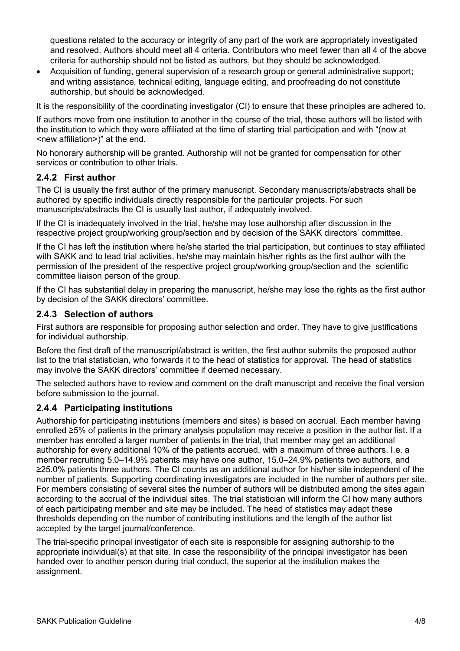questions related to the accuracy or integrity of any part of the work are appropriately investigated and resolved. Authors should meet all 4 criteria. Contributors who meet fewer than all 4 of the above criteria for authorship should not be listed as authors, but they should be acknowledged.

 Acquisition of funding, general supervision of a research group or general administrative support; and writing assistance, technical editing, language editing, and proofreading do not constitute authorship, but should be acknowledged.

It is the responsibility of the coordinating investigator (CI) to ensure that these principles are adhered to.

If authors move from one institution to another in the course of the trial, those authors will be listed with the institution to which they were affiliated at the time of starting trial participation and with "(now at <new affiliation>)" at the end.

No honorary authorship will be granted. Authorship will not be granted for compensation for other services or contribution to other trials.

#### 2.4.2 First author

The CI is usually the first author of the primary manuscript. Secondary manuscripts/abstracts shall be authored by specific individuals directly responsible for the particular projects. For such manuscripts/abstracts the CI is usually last author, if adequately involved.

If the CI is inadequately involved in the trial, he/she may lose authorship after discussion in the respective project group/working group/section and by decision of the SAKK directors' committee.

If the CI has left the institution where he/she started the trial participation, but continues to stay affiliated with SAKK and to lead trial activities, he/she may maintain his/her rights as the first author with the permission of the president of the respective project group/working group/section and the scientific committee liaison person of the group.

If the CI has substantial delay in preparing the manuscript, he/she may lose the rights as the first author by decision of the SAKK directors' committee.

#### 2.4.3 Selection of authors

First authors are responsible for proposing author selection and order. They have to give justifications for individual authorship.

Before the first draft of the manuscript/abstract is written, the first author submits the proposed author list to the trial statistician, who forwards it to the head of statistics for approval. The head of statistics may involve the SAKK directors' committee if deemed necessary.

The selected authors have to review and comment on the draft manuscript and receive the final version before submission to the journal.

#### 2.4.4 Participating institutions

Authorship for participating institutions (members and sites) is based on accrual. Each member having enrolled ≥5% of patients in the primary analysis population may receive a position in the author list. If a member has enrolled a larger number of patients in the trial, that member may get an additional authorship for every additional 10% of the patients accrued, with a maximum of three authors. I.e. a member recruiting 5.0–14.9% patients may have one author, 15.0–24.9% patients two authors, and ≥25.0% patients three authors. The CI counts as an additional author for his/her site independent of the number of patients. Supporting coordinating investigators are included in the number of authors per site. For members consisting of several sites the number of authors will be distributed among the sites again according to the accrual of the individual sites. The trial statistician will inform the CI how many authors of each participating member and site may be included. The head of statistics may adapt these thresholds depending on the number of contributing institutions and the length of the author list accepted by the target journal/conference.

The trial-specific principal investigator of each site is responsible for assigning authorship to the appropriate individual(s) at that site. In case the responsibility of the principal investigator has been handed over to another person during trial conduct, the superior at the institution makes the assignment.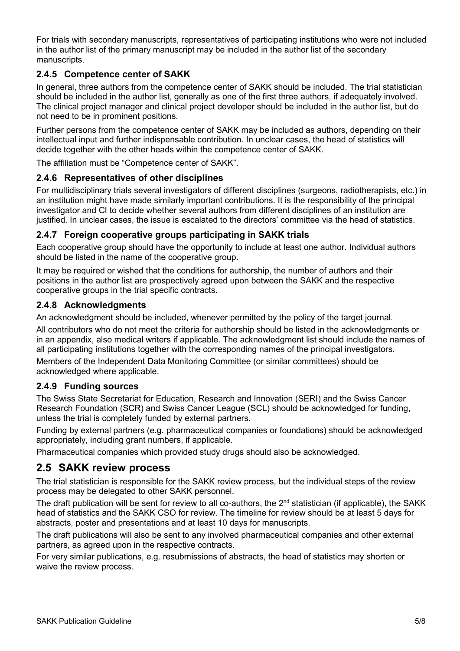For trials with secondary manuscripts, representatives of participating institutions who were not included in the author list of the primary manuscript may be included in the author list of the secondary manuscripts.

#### 2.4.5 Competence center of SAKK

In general, three authors from the competence center of SAKK should be included. The trial statistician should be included in the author list, generally as one of the first three authors, if adequately involved. The clinical project manager and clinical project developer should be included in the author list, but do not need to be in prominent positions.

Further persons from the competence center of SAKK may be included as authors, depending on their intellectual input and further indispensable contribution. In unclear cases, the head of statistics will decide together with the other heads within the competence center of SAKK.

The affiliation must be "Competence center of SAKK".

#### 2.4.6 Representatives of other disciplines

For multidisciplinary trials several investigators of different disciplines (surgeons, radiotherapists, etc.) in an institution might have made similarly important contributions. It is the responsibility of the principal investigator and CI to decide whether several authors from different disciplines of an institution are justified. In unclear cases, the issue is escalated to the directors' committee via the head of statistics.

#### 2.4.7 Foreign cooperative groups participating in SAKK trials

Each cooperative group should have the opportunity to include at least one author. Individual authors should be listed in the name of the cooperative group.

It may be required or wished that the conditions for authorship, the number of authors and their positions in the author list are prospectively agreed upon between the SAKK and the respective cooperative groups in the trial specific contracts.

#### 2.4.8 Acknowledgments

An acknowledgment should be included, whenever permitted by the policy of the target journal.

All contributors who do not meet the criteria for authorship should be listed in the acknowledgments or in an appendix, also medical writers if applicable. The acknowledgment list should include the names of all participating institutions together with the corresponding names of the principal investigators.

Members of the Independent Data Monitoring Committee (or similar committees) should be acknowledged where applicable.

#### 2.4.9 Funding sources

The Swiss State Secretariat for Education, Research and Innovation (SERI) and the Swiss Cancer Research Foundation (SCR) and Swiss Cancer League (SCL) should be acknowledged for funding, unless the trial is completely funded by external partners.

Funding by external partners (e.g. pharmaceutical companies or foundations) should be acknowledged appropriately, including grant numbers, if applicable.

Pharmaceutical companies which provided study drugs should also be acknowledged.

#### 2.5 SAKK review process

The trial statistician is responsible for the SAKK review process, but the individual steps of the review process may be delegated to other SAKK personnel.

The draft publication will be sent for review to all co-authors, the 2<sup>nd</sup> statistician (if applicable), the SAKK head of statistics and the SAKK CSO for review. The timeline for review should be at least 5 days for abstracts, poster and presentations and at least 10 days for manuscripts.

The draft publications will also be sent to any involved pharmaceutical companies and other external partners, as agreed upon in the respective contracts.

For very similar publications, e.g. resubmissions of abstracts, the head of statistics may shorten or waive the review process.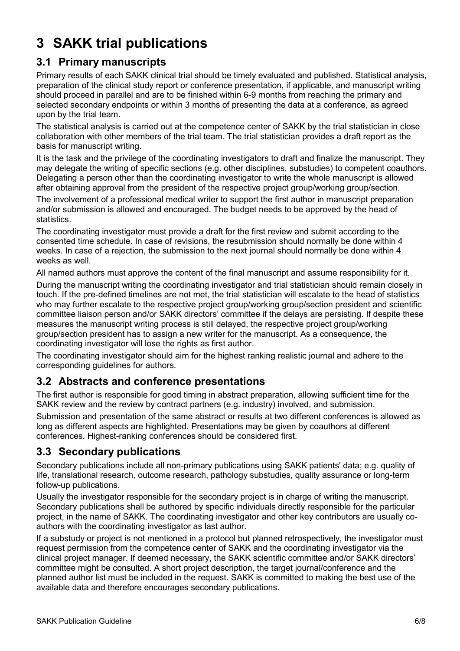# 3 SAKK trial publications

### 3.1 Primary manuscripts

Primary results of each SAKK clinical trial should be timely evaluated and published. Statistical analysis, preparation of the clinical study report or conference presentation, if applicable, and manuscript writing should proceed in parallel and are to be finished within 6-9 months from reaching the primary and selected secondary endpoints or within 3 months of presenting the data at a conference, as agreed upon by the trial team.

The statistical analysis is carried out at the competence center of SAKK by the trial statistician in close collaboration with other members of the trial team. The trial statistician provides a draft report as the basis for manuscript writing.

It is the task and the privilege of the coordinating investigators to draft and finalize the manuscript. They may delegate the writing of specific sections (e.g. other disciplines, substudies) to competent coauthors. Delegating a person other than the coordinating investigator to write the whole manuscript is allowed after obtaining approval from the president of the respective project group/working group/section.

The involvement of a professional medical writer to support the first author in manuscript preparation and/or submission is allowed and encouraged. The budget needs to be approved by the head of statistics.

The coordinating investigator must provide a draft for the first review and submit according to the consented time schedule. In case of revisions, the resubmission should normally be done within 4 weeks. In case of a rejection, the submission to the next journal should normally be done within 4 weeks as well

All named authors must approve the content of the final manuscript and assume responsibility for it.

During the manuscript writing the coordinating investigator and trial statistician should remain closely in touch. If the pre-defined timelines are not met, the trial statistician will escalate to the head of statistics who may further escalate to the respective project group/working group/section president and scientific committee liaison person and/or SAKK directors' committee if the delays are persisting. If despite these measures the manuscript writing process is still delayed, the respective project group/working group/section president has to assign a new writer for the manuscript. As a consequence, the coordinating investigator will lose the rights as first author.

The coordinating investigator should aim for the highest ranking realistic journal and adhere to the corresponding guidelines for authors.

### 3.2 Abstracts and conference presentations

The first author is responsible for good timing in abstract preparation, allowing sufficient time for the SAKK review and the review by contract partners (e.g. industry) involved, and submission.

Submission and presentation of the same abstract or results at two different conferences is allowed as long as different aspects are highlighted. Presentations may be given by coauthors at different conferences. Highest-ranking conferences should be considered first.

## 3.3 Secondary publications

Secondary publications include all non-primary publications using SAKK patients' data; e.g. quality of life, translational research, outcome research, pathology substudies, quality assurance or long-term follow-up publications.

Usually the investigator responsible for the secondary project is in charge of writing the manuscript. Secondary publications shall be authored by specific individuals directly responsible for the particular project, in the name of SAKK. The coordinating investigator and other key contributors are usually coauthors with the coordinating investigator as last author.

If a substudy or project is not mentioned in a protocol but planned retrospectively, the investigator must request permission from the competence center of SAKK and the coordinating investigator via the clinical project manager. If deemed necessary, the SAKK scientific committee and/or SAKK directors' committee might be consulted. A short project description, the target journal/conference and the planned author list must be included in the request. SAKK is committed to making the best use of the available data and therefore encourages secondary publications.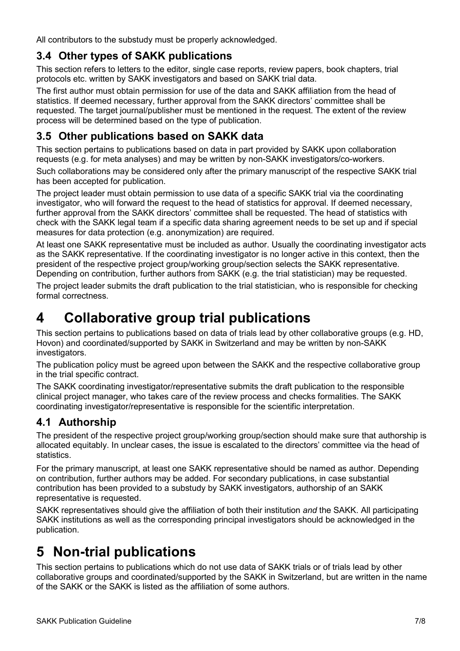All contributors to the substudy must be properly acknowledged.

## 3.4 Other types of SAKK publications

This section refers to letters to the editor, single case reports, review papers, book chapters, trial protocols etc. written by SAKK investigators and based on SAKK trial data.

The first author must obtain permission for use of the data and SAKK affiliation from the head of statistics. If deemed necessary, further approval from the SAKK directors' committee shall be requested. The target journal/publisher must be mentioned in the request. The extent of the review process will be determined based on the type of publication.

## 3.5 Other publications based on SAKK data

This section pertains to publications based on data in part provided by SAKK upon collaboration requests (e.g. for meta analyses) and may be written by non-SAKK investigators/co-workers.

Such collaborations may be considered only after the primary manuscript of the respective SAKK trial has been accepted for publication.

The project leader must obtain permission to use data of a specific SAKK trial via the coordinating investigator, who will forward the request to the head of statistics for approval. If deemed necessary, further approval from the SAKK directors' committee shall be requested. The head of statistics with check with the SAKK legal team if a specific data sharing agreement needs to be set up and if special measures for data protection (e.g. anonymization) are required.

At least one SAKK representative must be included as author. Usually the coordinating investigator acts as the SAKK representative. If the coordinating investigator is no longer active in this context, then the president of the respective project group/working group/section selects the SAKK representative. Depending on contribution, further authors from SAKK (e.g. the trial statistician) may be requested.

The project leader submits the draft publication to the trial statistician, who is responsible for checking formal correctness.

## 4 Collaborative group trial publications

This section pertains to publications based on data of trials lead by other collaborative groups (e.g. HD, Hovon) and coordinated/supported by SAKK in Switzerland and may be written by non-SAKK investigators.

The publication policy must be agreed upon between the SAKK and the respective collaborative group in the trial specific contract.

The SAKK coordinating investigator/representative submits the draft publication to the responsible clinical project manager, who takes care of the review process and checks formalities. The SAKK coordinating investigator/representative is responsible for the scientific interpretation.

## 4.1 Authorship

The president of the respective project group/working group/section should make sure that authorship is allocated equitably. In unclear cases, the issue is escalated to the directors' committee via the head of statistics.

For the primary manuscript, at least one SAKK representative should be named as author. Depending on contribution, further authors may be added. For secondary publications, in case substantial contribution has been provided to a substudy by SAKK investigators, authorship of an SAKK representative is requested.

SAKK representatives should give the affiliation of both their institution and the SAKK. All participating SAKK institutions as well as the corresponding principal investigators should be acknowledged in the publication.

# 5 Non-trial publications

This section pertains to publications which do not use data of SAKK trials or of trials lead by other collaborative groups and coordinated/supported by the SAKK in Switzerland, but are written in the name of the SAKK or the SAKK is listed as the affiliation of some authors.